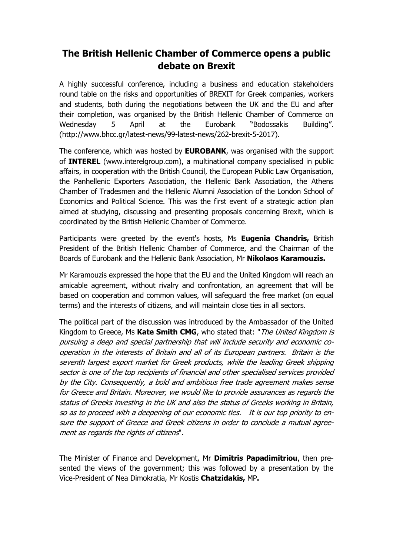## **The British Hellenic Chamber of Commerce opens a public debate on Brexit**

A highly successful conference, including a business and education stakeholders round table on the risks and opportunities of BREXIT for Greek companies, workers and students, both during the negotiations between the UK and the EU and after their completion, was organised by the British Hellenic Chamber of Commerce on Wednesday 5 April at the Eurobank "Bodossakis Building". (http://www.bhcc.gr/latest-news/99-latest-news/262-brexit-5-2017).

The conference, which was hosted by **EUROBANK**, was organised with the support of **INTEREL** (www.interelgroup.com), a multinational company specialised in public affairs, in cooperation with the British Council, the European Public Law Organisation, the Panhellenic Exporters Association, the Hellenic Bank Association, the Athens Chamber of Tradesmen and the Hellenic Alumni Association of the London School of Economics and Political Science. This was the first event of a strategic action plan aimed at studying, discussing and presenting proposals concerning Brexit, which is coordinated by the British Hellenic Chamber of Commerce.

Participants were greeted by the event's hosts, Ms **Eugenia Chandris,** British President of the British Hellenic Chamber of Commerce, and the Chairman of the Boards of Eurobank and the Hellenic Bank Association, Mr **Nikolaos Karamouzis.**

Mr Karamouzis expressed the hope that the EU and the United Kingdom will reach an amicable agreement, without rivalry and confrontation, an agreement that will be based on cooperation and common values, will safeguard the free market (on equal terms) and the interests of citizens, and will maintain close ties in all sectors.

The political part of the discussion was introduced by the Ambassador of the United Kingdom to Greece, Ms **Kate Smith CMG**, who stated that: "The United Kingdom is pursuing a deep and special partnership that will include security and economic cooperation in the interests of Britain and all of its European partners. Britain is the seventh largest export market for Greek products, while the leading Greek shipping sector is one of the top recipients of financial and other specialised services provided by the City. Consequently, a bold and ambitious free trade agreement makes sense for Greece and Britain. Moreover, we would like to provide assurances as regards the status of Greeks investing in the UK and also the status of Greeks working in Britain, so as to proceed with a deepening of our economic ties. It is our top priority to ensure the support of Greece and Greek citizens in order to conclude a mutual agreement as regards the rights of citizens".

The Minister of Finance and Development, Mr **Dimitris Papadimitriou**, then presented the views of the government; this was followed by a presentation by the Vice-President of Nea Dimokratia, Mr Kostis **Chatzidakis,** MP**.**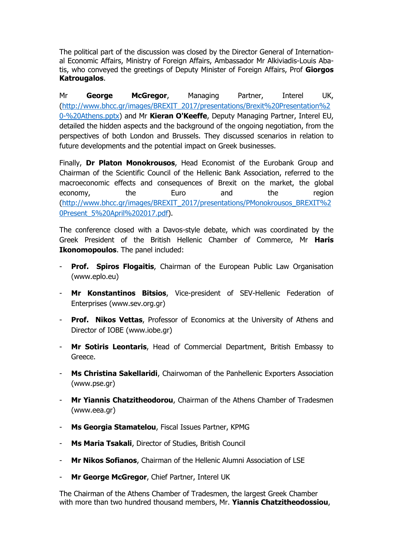The political part of the discussion was closed by the Director General of International Economic Affairs, Ministry of Foreign Affairs, Ambassador Mr Alkiviadis-Louis Abatis, who conveyed the greetings of Deputy Minister of Foreign Affairs, Prof **Giorgos Katrougalos**.

Mr **George McGregor**, Managing Partner, Interel UK, [\(http://www.bhcc.gr/images/BREXIT\\_2017/presentations/Brexit%20Presentation%2](http://www.bhcc.gr/images/BREXIT_2017/presentations/Brexit%20Presentation%20-%20Athens.pptx) [0-%20Athens.pptx\)](http://www.bhcc.gr/images/BREXIT_2017/presentations/Brexit%20Presentation%20-%20Athens.pptx) and Mr **Kieran O'Keeffe**, Deputy Managing Partner, Interel EU, detailed the hidden aspects and the background of the ongoing negotiation, from the perspectives of both London and Brussels. They discussed scenarios in relation to future developments and the potential impact on Greek businesses.

Finally, **Dr Platon Monokrousos**, Head Economist of the Eurobank Group and Chairman of the Scientific Council of the Hellenic Bank Association, referred to the macroeconomic effects and consequences of Brexit on the market, the global economy, the Euro and the region [\(http://www.bhcc.gr/images/BREXIT\\_2017/presentations/PMonokrousos\\_BREXIT%2](http://www.bhcc.gr/images/BREXIT_2017/presentations/PMonokrousos_BREXIT%20Present_5%20April%202017.pdf) [0Present\\_5%20April%202017.pdf\)](http://www.bhcc.gr/images/BREXIT_2017/presentations/PMonokrousos_BREXIT%20Present_5%20April%202017.pdf).

The conference closed with a Davos-style debate, which was coordinated by the Greek President of the British Hellenic Chamber of Commerce, Mr **Haris Ikonomopoulos**. The panel included:

- **Prof.** Spiros Flogaitis, Chairman of the European Public Law Organisation (www.eplo.eu)
- **Mr Konstantinos Bitsios**, Vice-president of SEV-Hellenic Federation of Enterprises (www.sev.org.gr)
- **Prof. Nikos Vettas**, Professor of Economics at the University of Athens and Director of IOBE (www.iobe.gr)
- Mr Sotiris Leontaris, Head of Commercial Department, British Embassy to Greece.
- **Ms Christina Sakellaridi**, Chairwoman of the Panhellenic Exporters Association (www.pse.gr)
- **Mr Yiannis Chatzitheodorou**, Chairman of the Athens Chamber of Tradesmen (www.eea.gr)
- **Ms Georgia Stamatelou**, Fiscal Issues Partner, KPMG
- **Ms Maria Tsakali**, Director of Studies, British Council
- **Mr Nikos Sofianos**, Chairman of the Hellenic Alumni Association of LSE
- **Mr George McGregor**, Chief Partner, Interel UK

The Chairman of the Athens Chamber of Tradesmen, the largest Greek Chamber with more than two hundred thousand members, Mr. **Yiannis Chatzitheodossiou**,